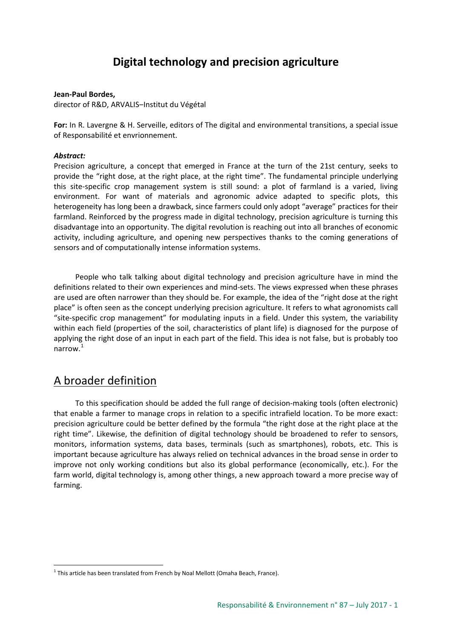# **Digital technology and precision agriculture**

#### **Jean-Paul Bordes,**

director of R&D, ARVALIS-Institut du Végétal

**For:** In R. Lavergne & H. Serveille, editors of The digital and environmental transitions, a special issue of Responsabilité et envrionnement.

#### *Abstract:*

Precision agriculture, a concept that emerged in France at the turn of the 21st century, seeks to provide the "right dose, at the right place, at the right time". The fundamental principle underlying this site-specific crop management system is still sound: a plot of farmland is a varied, living environment. For want of materials and agronomic advice adapted to specific plots, this heterogeneity has long been a drawback, since farmers could only adopt "average" practices for their farmland. Reinforced by the progress made in digital technology, precision agriculture is turning this disadvantage into an opportunity. The digital revolution is reaching out into all branches of economic activity, including agriculture, and opening new perspectives thanks to the coming generations of sensors and of computationally intense information systems.

People who talk talking about digital technology and precision agriculture have in mind the definitions related to their own experiences and mind-sets. The views expressed when these phrases are used are often narrower than they should be. For example, the idea of the "right dose at the right place" is often seen as the concept underlying precision agriculture. It refers to what agronomists call "site-specific crop management" for modulating inputs in a field. Under this system, the variability within each field (properties of the soil, characteristics of plant life) is diagnosed for the purpose of applying the right dose of an input in each part of the field. This idea is not false, but is probably too narrow.[1](#page-0-0)

#### A broader definition

To this specification should be added the full range of decision-making tools (often electronic) that enable a farmer to manage crops in relation to a specific intrafield location. To be more exact: precision agriculture could be better defined by the formula "the right dose at the right place at the right time". Likewise, the definition of digital technology should be broadened to refer to sensors, monitors, information systems, data bases, terminals (such as smartphones), robots, etc. This is important because agriculture has always relied on technical advances in the broad sense in order to improve not only working conditions but also its global performance (economically, etc.). For the farm world, digital technology is, among other things, a new approach toward a more precise way of farming.

<span id="page-0-0"></span> $1$  This article has been translated from French by Noal Mellott (Omaha Beach, France).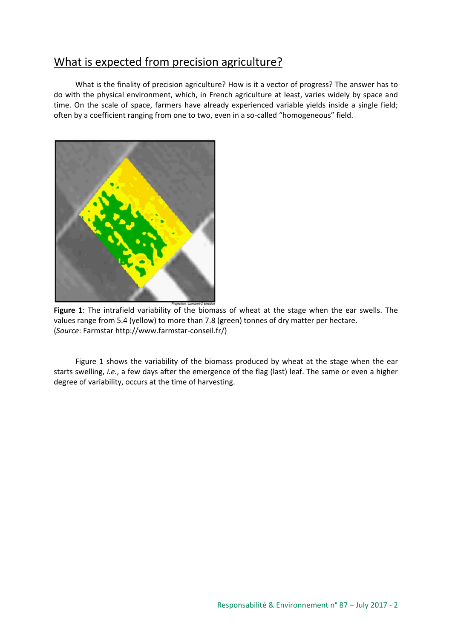# What is expected from precision agriculture?

What is the finality of precision agriculture? How is it a vector of progress? The answer has to do with the physical environment, which, in French agriculture at least, varies widely by space and time. On the scale of space, farmers have already experienced variable yields inside a single field; often by a coefficient ranging from one to two, even in a so-called "homogeneous" field.



**Figure 1**: The intrafield variability of the biomass of wheat at the stage when the ear swells. The values range from 5.4 (yellow) to more than 7.8 (green) tonnes of dry matter per hectare. (*Source*: Farmstar http://www.farmstar-conseil.fr/)

Figure 1 shows the variability of the biomass produced by wheat at the stage when the ear starts swelling, *i.e.*, a few days after the emergence of the flag (last) leaf. The same or even a higher degree of variability, occurs at the time of harvesting.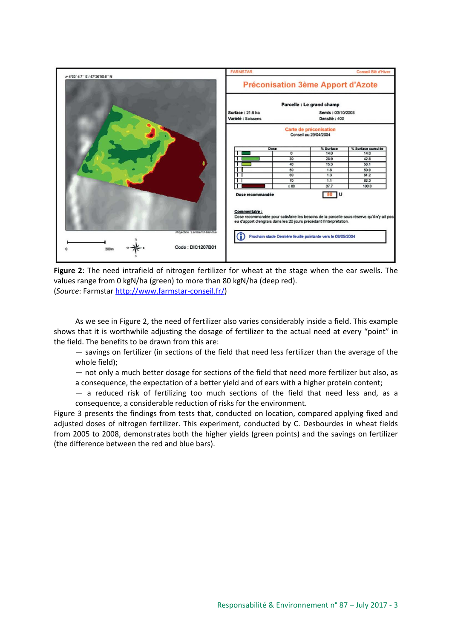

**Figure 2**: The need intrafield of nitrogen fertilizer for wheat at the stage when the ear swells. The values range from 0 kgN/ha (green) to more than 80 kgN/ha (deep red). (*Source*: Farmstar [http://www.farmstar](http://www.farmstar-conseil.fr/)-conseil.fr/)

As we see in Figure 2, the need of fertilizer also varies considerably inside a field. This example shows that it is worthwhile adjusting the dosage of fertilizer to the actual need at every "point" in the field. The benefits to be drawn from this are:

— savings on fertilizer (in sections of the field that need less fertilizer than the average of the whole field);

— not only a much better dosage for sections of the field that need more fertilizer but also, as a consequence, the expectation of a better yield and of ears with a higher protein content;

— a reduced risk of fertilizing too much sections of the field that need less and, as a consequence, a considerable reduction of risks for the environment.

Figure 3 presents the findings from tests that, conducted on location, compared applying fixed and adjusted doses of nitrogen fertilizer. This experiment, conducted by C. Desbourdes in wheat fields from 2005 to 2008, demonstrates both the higher yields (green points) and the savings on fertilizer (the difference between the red and blue bars).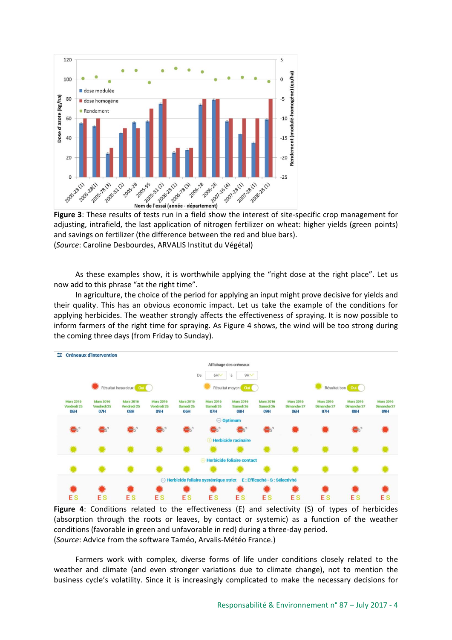

**Figure 3**: These results of tests run in a field show the interest of site-specific crop management for adjusting, intrafield, the last application of nitrogen fertilizer on wheat: higher yields (green points) and savings on fertilizer (the difference between the red and blue bars). (*Source*: Caroline Desbourdes, ARVALIS Institut du Végétal)

As these examples show, it is worthwhile applying the "right dose at the right place". Let us now add to this phrase "at the right time".

In agriculture, the choice of the period for applying an input might prove decisive for yields and their quality. This has an obvious economic impact. Let us take the example of the conditions for applying herbicides. The weather strongly affects the effectiveness of spraying. It is now possible to inform farmers of the right time for spraying. As Figure 4 shows, the wind will be too strong during the coming three days (from Friday to Sunday).



**Figure 4**: Conditions related to the effectiveness (E) and selectivity (S) of types of herbicides (absorption through the roots or leaves, by contact or systemic) as a function of the weather conditions (favorable in green and unfavorable in red) during a three-day period. (*Source*: Advice from the software Taméo, Arvalis-Météo France.)

Farmers work with complex, diverse forms of life under conditions closely related to the weather and climate (and even stronger variations due to climate change), not to mention the business cycle's volatility. Since it is increasingly complicated to make the necessary decisions for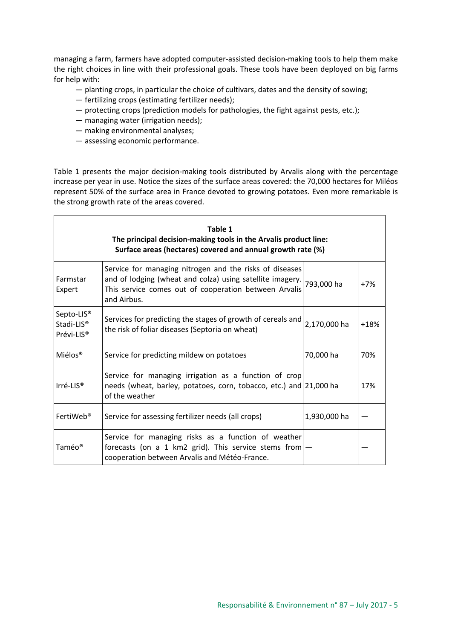managing a farm, farmers have adopted computer-assisted decision-making tools to help them make the right choices in line with their professional goals. These tools have been deployed on big farms for help with:

- planting crops, in particular the choice of cultivars, dates and the density of sowing;
- fertilizing crops (estimating fertilizer needs);
- protecting crops (prediction models for pathologies, the fight against pests, etc.);
- managing water (irrigation needs);
- making environmental analyses;
- assessing economic performance.

Table 1 presents the major decision-making tools distributed by Arvalis along with the percentage increase per year in use. Notice the sizes of the surface areas covered: the 70,000 hectares for Miléos represent 50% of the surface area in France devoted to growing potatoes. Even more remarkable is the strong growth rate of the areas covered.

| Table 1<br>The principal decision-making tools in the Arvalis product line:<br>Surface areas (hectares) covered and annual growth rate (%) |                                                                                                                                                                                                         |              |        |
|--------------------------------------------------------------------------------------------------------------------------------------------|---------------------------------------------------------------------------------------------------------------------------------------------------------------------------------------------------------|--------------|--------|
| Farmstar<br>Expert                                                                                                                         | Service for managing nitrogen and the risks of diseases<br>and of lodging (wheat and colza) using satellite imagery. 793,000 ha<br>This service comes out of cooperation between Arvalis<br>and Airbus. |              | $+7%$  |
| Septo-LIS <sup>®</sup><br>Stadi-LIS <sup>®</sup><br>Prévi-LIS <sup>®</sup>                                                                 | Services for predicting the stages of growth of cereals and<br>the risk of foliar diseases (Septoria on wheat)                                                                                          | 2,170,000 ha | $+18%$ |
| Miélos <sup>®</sup>                                                                                                                        | Service for predicting mildew on potatoes                                                                                                                                                               | 70,000 ha    | 70%    |
| $Irré-LIS®$                                                                                                                                | Service for managing irrigation as a function of crop<br>needs (wheat, barley, potatoes, corn, tobacco, etc.) and 21,000 ha<br>of the weather                                                           |              | 17%    |
| FertiWeb <sup>®</sup>                                                                                                                      | Service for assessing fertilizer needs (all crops)                                                                                                                                                      | 1,930,000 ha |        |
| Taméo®                                                                                                                                     | Service for managing risks as a function of weather<br>forecasts (on a 1 km2 grid). This service stems from $-$<br>cooperation between Arvalis and Météo-France.                                        |              |        |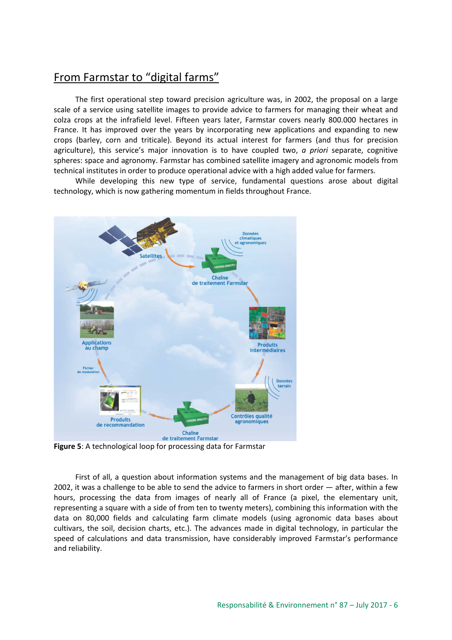## From Farmstar to "digital farms"

The first operational step toward precision agriculture was, in 2002, the proposal on a large scale of a service using satellite images to provide advice to farmers for managing their wheat and colza crops at the infrafield level. Fifteen years later, Farmstar covers nearly 800.000 hectares in France. It has improved over the years by incorporating new applications and expanding to new crops (barley, corn and triticale). Beyond its actual interest for farmers (and thus for precision agriculture), this service's major innovation is to have coupled two, *a priori* separate, cognitive spheres: space and agronomy. Farmstar has combined satellite imagery and agronomic models from technical institutes in order to produce operational advice with a high added value for farmers.

While developing this new type of service, fundamental questions arose about digital technology, which is now gathering momentum in fields throughout France.



**Figure 5**: A technological loop for processing data for Farmstar

First of all, a question about information systems and the management of big data bases. In 2002, it was a challenge to be able to send the advice to farmers in short order — after, within a few hours, processing the data from images of nearly all of France (a pixel, the elementary unit, representing a square with a side of from ten to twenty meters), combining this information with the data on 80,000 fields and calculating farm climate models (using agronomic data bases about cultivars, the soil, decision charts, etc.). The advances made in digital technology, in particular the speed of calculations and data transmission, have considerably improved Farmstar's performance and reliability.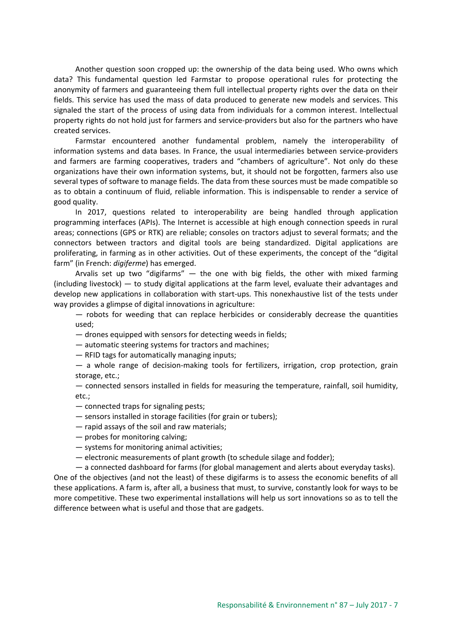Another question soon cropped up: the ownership of the data being used. Who owns which data? This fundamental question led Farmstar to propose operational rules for protecting the anonymity of farmers and guaranteeing them full intellectual property rights over the data on their fields. This service has used the mass of data produced to generate new models and services. This signaled the start of the process of using data from individuals for a common interest. Intellectual property rights do not hold just for farmers and service-providers but also for the partners who have created services.

Farmstar encountered another fundamental problem, namely the interoperability of information systems and data bases. In France, the usual intermediaries between service-providers and farmers are farming cooperatives, traders and "chambers of agriculture". Not only do these organizations have their own information systems, but, it should not be forgotten, farmers also use several types of software to manage fields. The data from these sources must be made compatible so as to obtain a continuum of fluid, reliable information. This is indispensable to render a service of good quality.

In 2017, questions related to interoperability are being handled through application programming interfaces (APIs). The Internet is accessible at high enough connection speeds in rural areas; connections (GPS or RTK) are reliable; consoles on tractors adjust to several formats; and the connectors between tractors and digital tools are being standardized. Digital applications are proliferating, in farming as in other activities. Out of these experiments, the concept of the "digital farm" (in French: *digiferme*) has emerged.

Arvalis set up two "digifarms"  $-$  the one with big fields, the other with mixed farming (including livestock) — to study digital applications at the farm level, evaluate their advantages and develop new applications in collaboration with start-ups. This nonexhaustive list of the tests under way provides a glimpse of digital innovations in agriculture:

— robots for weeding that can replace herbicides or considerably decrease the quantities used;

— drones equipped with sensors for detecting weeds in fields;

— automatic steering systems for tractors and machines;

— RFID tags for automatically managing inputs;

— a whole range of decision-making tools for fertilizers, irrigation, crop protection, grain storage, etc.;

— connected sensors installed in fields for measuring the temperature, rainfall, soil humidity, etc.;

- connected traps for signaling pests;
- sensors installed in storage facilities (for grain or tubers);
- rapid assays of the soil and raw materials;
- probes for monitoring calving;
- systems for monitoring animal activities;
- electronic measurements of plant growth (to schedule silage and fodder);

— a connected dashboard for farms (for global management and alerts about everyday tasks). One of the objectives (and not the least) of these digifarms is to assess the economic benefits of all

these applications. A farm is, after all, a business that must, to survive, constantly look for ways to be more competitive. These two experimental installations will help us sort innovations so as to tell the difference between what is useful and those that are gadgets.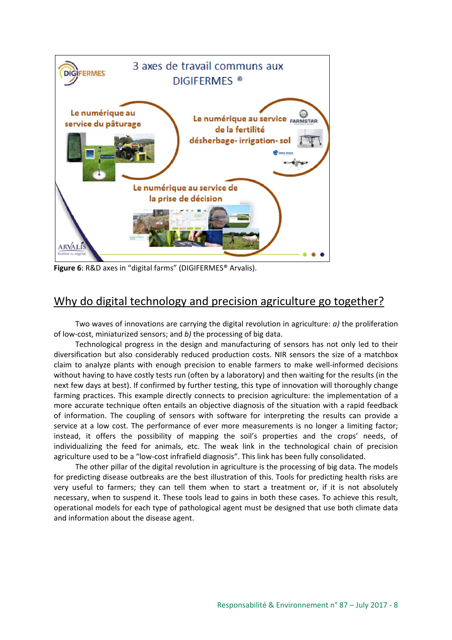

**Figure 6**: R&D axes in "digital farms" (DIGIFERMES® Arvalis).

# Why do digital technology and precision agriculture go together?

Two waves of innovations are carrying the digital revolution in agriculture: *a)* the proliferation of low-cost, miniaturized sensors; and *b)* the processing of big data.

Technological progress in the design and manufacturing of sensors has not only led to their diversification but also considerably reduced production costs. NIR sensors the size of a matchbox claim to analyze plants with enough precision to enable farmers to make well-informed decisions without having to have costly tests run (often by a laboratory) and then waiting for the results (in the next few days at best). If confirmed by further testing, this type of innovation will thoroughly change farming practices. This example directly connects to precision agriculture: the implementation of a more accurate technique often entails an objective diagnosis of the situation with a rapid feedback of information. The coupling of sensors with software for interpreting the results can provide a service at a low cost. The performance of ever more measurements is no longer a limiting factor; instead, it offers the possibility of mapping the soil's properties and the crops' needs, of individualizing the feed for animals, etc. The weak link in the technological chain of precision agriculture used to be a "low-cost infrafield diagnosis". This link has been fully consolidated.

The other pillar of the digital revolution in agriculture is the processing of big data. The models for predicting disease outbreaks are the best illustration of this. Tools for predicting health risks are very useful to farmers; they can tell them when to start a treatment or, if it is not absolutely necessary, when to suspend it. These tools lead to gains in both these cases. To achieve this result, operational models for each type of pathological agent must be designed that use both climate data and information about the disease agent.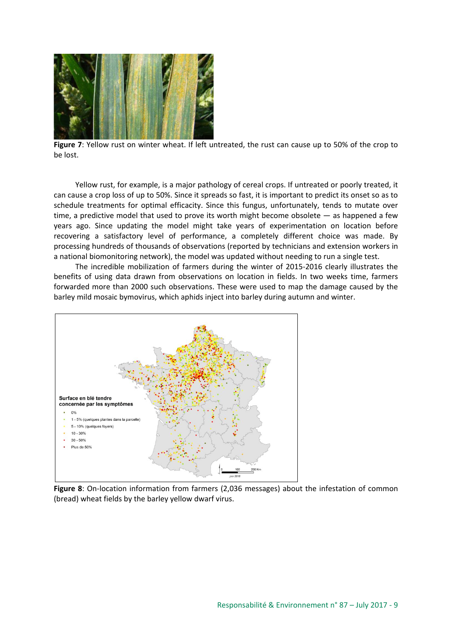![](_page_8_Picture_0.jpeg)

**Figure 7**: Yellow rust on winter wheat. If left untreated, the rust can cause up to 50% of the crop to be lost.

Yellow rust, for example, is a major pathology of cereal crops. If untreated or poorly treated, it can cause a crop loss of up to 50%. Since it spreads so fast, it is important to predict its onset so as to schedule treatments for optimal efficacity. Since this fungus, unfortunately, tends to mutate over time, a predictive model that used to prove its worth might become obsolete — as happened a few years ago. Since updating the model might take years of experimentation on location before recovering a satisfactory level of performance, a completely different choice was made. By processing hundreds of thousands of observations (reported by technicians and extension workers in a national biomonitoring network), the model was updated without needing to run a single test.

The incredible mobilization of farmers during the winter of 2015-2016 clearly illustrates the benefits of using data drawn from observations on location in fields. In two weeks time, farmers forwarded more than 2000 such observations. These were used to map the damage caused by the barley mild mosaic bymovirus, which aphids inject into barley during autumn and winter.

![](_page_8_Figure_4.jpeg)

**Figure 8**: On-location information from farmers (2,036 messages) about the infestation of common (bread) wheat fields by the barley yellow dwarf virus.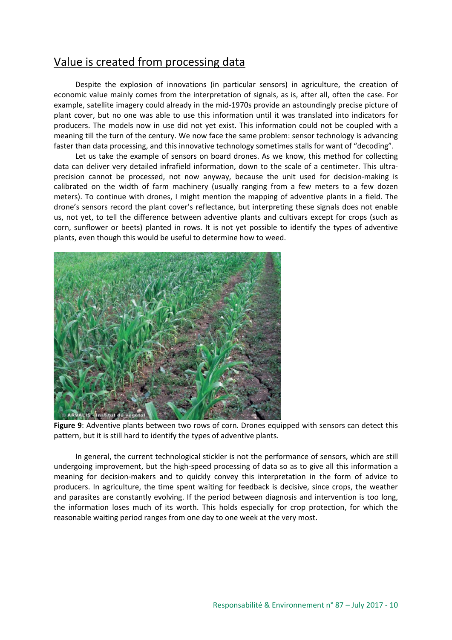### Value is created from processing data

Despite the explosion of innovations (in particular sensors) in agriculture, the creation of economic value mainly comes from the interpretation of signals, as is, after all, often the case. For example, satellite imagery could already in the mid-1970s provide an astoundingly precise picture of plant cover, but no one was able to use this information until it was translated into indicators for producers. The models now in use did not yet exist. This information could not be coupled with a meaning till the turn of the century. We now face the same problem: sensor technology is advancing faster than data processing, and this innovative technology sometimes stalls for want of "decoding".

Let us take the example of sensors on board drones. As we know, this method for collecting data can deliver very detailed infrafield information, down to the scale of a centimeter. This ultraprecision cannot be processed, not now anyway, because the unit used for decision-making is calibrated on the width of farm machinery (usually ranging from a few meters to a few dozen meters). To continue with drones, I might mention the mapping of adventive plants in a field. The drone's sensors record the plant cover's reflectance, but interpreting these signals does not enable us, not yet, to tell the difference between adventive plants and cultivars except for crops (such as corn, sunflower or beets) planted in rows. It is not yet possible to identify the types of adventive plants, even though this would be useful to determine how to weed.

![](_page_9_Picture_3.jpeg)

**Figure 9**: Adventive plants between two rows of corn. Drones equipped with sensors can detect this pattern, but it is still hard to identify the types of adventive plants.

In general, the current technological stickler is not the performance of sensors, which are still undergoing improvement, but the high-speed processing of data so as to give all this information a meaning for decision-makers and to quickly convey this interpretation in the form of advice to producers. In agriculture, the time spent waiting for feedback is decisive, since crops, the weather and parasites are constantly evolving. If the period between diagnosis and intervention is too long, the information loses much of its worth. This holds especially for crop protection, for which the reasonable waiting period ranges from one day to one week at the very most.